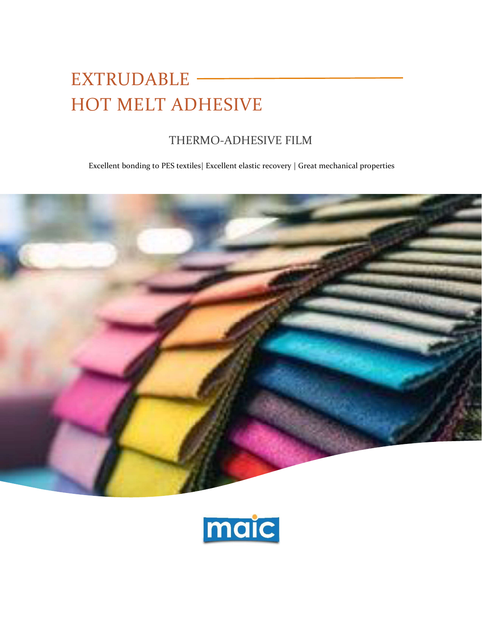# EXTRUDABLE – HOT MELT ADHESIVE

# THERMO-ADHESIVE FILM

Excellent bonding to PES textiles| Excellent elastic recovery | Great mechanical properties